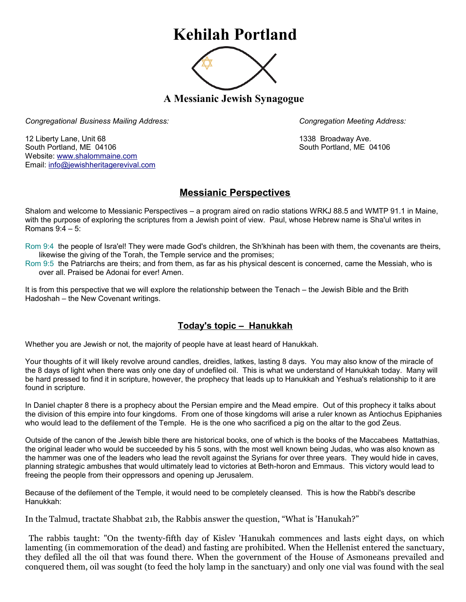## **Kehilah Portland**



**A Messianic Jewish Synagogue** 

*Congregational Business Mailing Address: Congregation Meeting Address:*

12 Liberty Lane, Unit 68 1338 Broadway Ave. South Portland, ME 04106 South Portland, ME 04106 Website: [www.shalommaine.com](http://www.shalommaine.com/) Email: [info@jewishheritagerevival.com](mailto:info@jewishheritagerevival.com) 

## **Messianic Perspectives**

Shalom and welcome to Messianic Perspectives – a program aired on radio stations WRKJ 88.5 and WMTP 91.1 in Maine, with the purpose of exploring the scriptures from a Jewish point of view. Paul, whose Hebrew name is Sha'ul writes in Romans 9:4 – 5:

Rom 9:4 the people of Isra'el! They were made God's children, the Sh'khinah has been with them, the covenants are theirs, likewise the giving of the Torah, the Temple service and the promises;

Rom 9:5 the Patriarchs are theirs; and from them, as far as his physical descent is concerned, came the Messiah, who is over all. Praised be Adonai for ever! Amen.

It is from this perspective that we will explore the relationship between the Tenach – the Jewish Bible and the Brith Hadoshah – the New Covenant writings.

## **Today's topic – Hanukkah**

Whether you are Jewish or not, the majority of people have at least heard of Hanukkah.

Your thoughts of it will likely revolve around candles, dreidles, latkes, lasting 8 days. You may also know of the miracle of the 8 days of light when there was only one day of undefiled oil. This is what we understand of Hanukkah today. Many will be hard pressed to find it in scripture, however, the prophecy that leads up to Hanukkah and Yeshua's relationship to it are found in scripture.

In Daniel chapter 8 there is a prophecy about the Persian empire and the Mead empire. Out of this prophecy it talks about the division of this empire into four kingdoms. From one of those kingdoms will arise a ruler known as Antiochus Epiphanies who would lead to the defilement of the Temple. He is the one who sacrificed a pig on the altar to the god Zeus.

Outside of the canon of the Jewish bible there are historical books, one of which is the books of the Maccabees Mattathias, the original leader who would be succeeded by his 5 sons, with the most well known being Judas, who was also known as the hammer was one of the leaders who lead the revolt against the Syrians for over three years. They would hide in caves, planning strategic ambushes that would ultimately lead to victories at Beth-horon and Emmaus. This victory would lead to freeing the people from their oppressors and opening up Jerusalem.

Because of the defilement of the Temple, it would need to be completely cleansed. This is how the Rabbi's describe Hanukkah:

In the Talmud, tractate Shabbat 21b, the Rabbis answer the question, "What is 'Hanukah?"

 The rabbis taught: "On the twenty-fifth day of Kislev 'Hanukah commences and lasts eight days, on which lamenting (in commemoration of the dead) and fasting are prohibited. When the Hellenist entered the sanctuary, they defiled all the oil that was found there. When the government of the House of Asmoneans prevailed and conquered them, oil was sought (to feed the holy lamp in the sanctuary) and only one vial was found with the seal